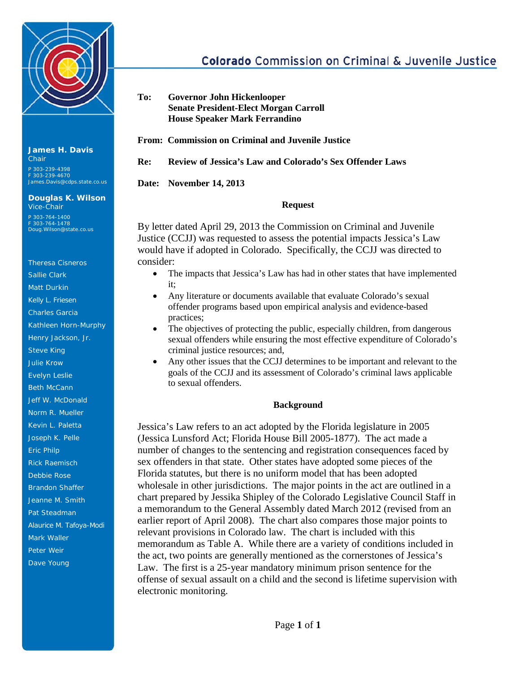

**James H. Davis** Chair P 303-239-4398 F 303-239-4670 James.Davis@cdps.state.co.us

**Douglas K. Wilson** Vice-Chair

P 303-764-1400 F 303-764-1478 Doug.Wilson@state.co.us

Theresa Cisneros Sallie Clark Matt Durkin Kelly L. Friesen Charles Garcia Kathleen Horn-Murphy Henry Jackson, Jr. Steve King Julie Krow Evelyn Leslie Beth McCann Jeff W. McDonald Norm R. Mueller Kevin L. Paletta Joseph K. Pelle Eric Philp Rick Raemisch Debbie Rose Brandon Shaffer Jeanne M. Smith Pat Steadman Alaurice M. Tafoya-Modi Mark Waller Peter Weir Dave Young

# **Colorado Commission on Criminal & Juvenile Justice**

- **To: Governor John Hickenlooper Senate President-Elect Morgan Carroll House Speaker Mark Ferrandino**
- **From: Commission on Criminal and Juvenile Justice**

**Re: Review of Jessica's Law and Colorado's Sex Offender Laws**

**Date: November 14, 2013**

#### **Request**

By letter dated April 29, 2013 the Commission on Criminal and Juvenile Justice (CCJJ) was requested to assess the potential impacts Jessica's Law would have if adopted in Colorado. Specifically, the CCJJ was directed to consider:

- The impacts that Jessica's Law has had in other states that have implemented it;
- Any literature or documents available that evaluate Colorado's sexual offender programs based upon empirical analysis and evidence-based practices;
- The objectives of protecting the public, especially children, from dangerous sexual offenders while ensuring the most effective expenditure of Colorado's criminal justice resources; and,
- Any other issues that the CCJJ determines to be important and relevant to the goals of the CCJJ and its assessment of Colorado's criminal laws applicable to sexual offenders.

#### **Background**

Jessica's Law refers to an act adopted by the Florida legislature in 2005 (Jessica Lunsford Act; Florida House Bill 2005-1877). The act made a number of changes to the sentencing and registration consequences faced by sex offenders in that state. Other states have adopted some pieces of the Florida statutes, but there is no uniform model that has been adopted wholesale in other jurisdictions. The major points in the act are outlined in a chart prepared by Jessika Shipley of the Colorado Legislative Council Staff in a memorandum to the General Assembly dated March 2012 (revised from an earlier report of April 2008). The chart also compares those major points to relevant provisions in Colorado law. The chart is included with this memorandum as Table A. While there are a variety of conditions included in the act, two points are generally mentioned as the cornerstones of Jessica's Law. The first is a 25-year mandatory minimum prison sentence for the offense of sexual assault on a child and the second is lifetime supervision with electronic monitoring.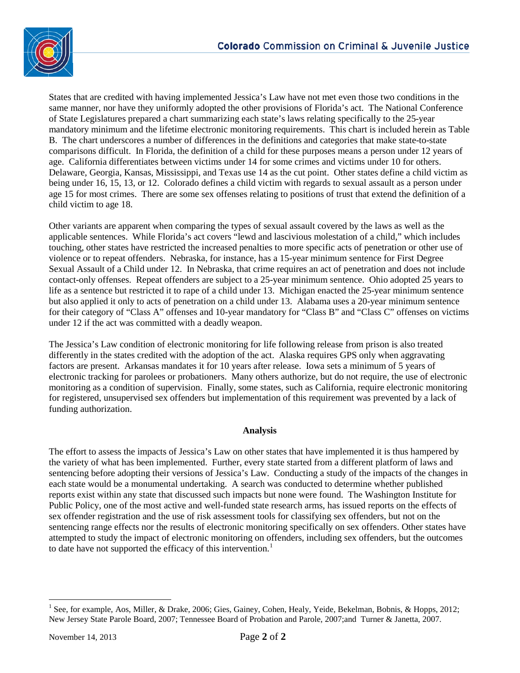

States that are credited with having implemented Jessica's Law have not met even those two conditions in the same manner, nor have they uniformly adopted the other provisions of Florida's act. The National Conference of State Legislatures prepared a chart summarizing each state's laws relating specifically to the 25-year mandatory minimum and the lifetime electronic monitoring requirements. This chart is included herein as Table B. The chart underscores a number of differences in the definitions and categories that make state-to-state comparisons difficult. In Florida, the definition of a child for these purposes means a person under 12 years of age. California differentiates between victims under 14 for some crimes and victims under 10 for others. Delaware, Georgia, Kansas, Mississippi, and Texas use 14 as the cut point. Other states define a child victim as being under 16, 15, 13, or 12. Colorado defines a child victim with regards to sexual assault as a person under age 15 for most crimes. There are some sex offenses relating to positions of trust that extend the definition of a child victim to age 18.

Other variants are apparent when comparing the types of sexual assault covered by the laws as well as the applicable sentences. While Florida's act covers "lewd and lascivious molestation of a child," which includes touching, other states have restricted the increased penalties to more specific acts of penetration or other use of violence or to repeat offenders. Nebraska, for instance, has a 15-year minimum sentence for First Degree Sexual Assault of a Child under 12. In Nebraska, that crime requires an act of penetration and does not include contact-only offenses. Repeat offenders are subject to a 25-year minimum sentence. Ohio adopted 25 years to life as a sentence but restricted it to rape of a child under 13. Michigan enacted the 25-year minimum sentence but also applied it only to acts of penetration on a child under 13. Alabama uses a 20-year minimum sentence for their category of "Class A" offenses and 10-year mandatory for "Class B" and "Class C" offenses on victims under 12 if the act was committed with a deadly weapon.

The Jessica's Law condition of electronic monitoring for life following release from prison is also treated differently in the states credited with the adoption of the act. Alaska requires GPS only when aggravating factors are present. Arkansas mandates it for 10 years after release. Iowa sets a minimum of 5 years of electronic tracking for parolees or probationers. Many others authorize, but do not require, the use of electronic monitoring as a condition of supervision. Finally, some states, such as California, require electronic monitoring for registered, unsupervised sex offenders but implementation of this requirement was prevented by a lack of funding authorization.

#### **Analysis**

The effort to assess the impacts of Jessica's Law on other states that have implemented it is thus hampered by the variety of what has been implemented. Further, every state started from a different platform of laws and sentencing before adopting their versions of Jessica's Law. Conducting a study of the impacts of the changes in each state would be a monumental undertaking. A search was conducted to determine whether published reports exist within any state that discussed such impacts but none were found. The Washington Institute for Public Policy, one of the most active and well-funded state research arms, has issued reports on the effects of sex offender registration and the use of risk assessment tools for classifying sex offenders, but not on the sentencing range effects nor the results of electronic monitoring specifically on sex offenders. Other states have attempted to study the impact of electronic monitoring on offenders, including sex offenders, but the outcomes to date have not supported the efficacy of this intervention.<sup>[1](#page-1-0)</sup>

<span id="page-1-0"></span><sup>&</sup>lt;sup>1</sup> See, for example, Aos, Miller, & Drake, 2006; Gies, Gainey, Cohen, Healy, Yeide, Bekelman, Bobnis, & Hopps, 2012; New Jersey State Parole Board, 2007; Tennessee Board of Probation and Parole, 2007;and Turner & Janetta, 2007.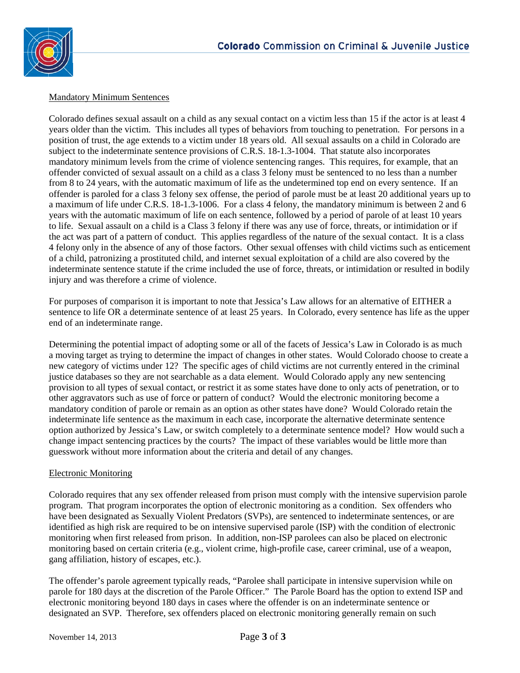



#### Mandatory Minimum Sentences

Colorado defines sexual assault on a child as any sexual contact on a victim less than 15 if the actor is at least 4 years older than the victim. This includes all types of behaviors from touching to penetration. For persons in a position of trust, the age extends to a victim under 18 years old. All sexual assaults on a child in Colorado are subject to the indeterminate sentence provisions of C.R.S. 18-1.3-1004. That statute also incorporates mandatory minimum levels from the crime of violence sentencing ranges. This requires, for example, that an offender convicted of sexual assault on a child as a class 3 felony must be sentenced to no less than a number from 8 to 24 years, with the automatic maximum of life as the undetermined top end on every sentence. If an offender is paroled for a class 3 felony sex offense, the period of parole must be at least 20 additional years up to a maximum of life under C.R.S. 18-1.3-1006. For a class 4 felony, the mandatory minimum is between 2 and 6 years with the automatic maximum of life on each sentence, followed by a period of parole of at least 10 years to life. Sexual assault on a child is a Class 3 felony if there was any use of force, threats, or intimidation or if the act was part of a pattern of conduct. This applies regardless of the nature of the sexual contact. It is a class 4 felony only in the absence of any of those factors. Other sexual offenses with child victims such as enticement of a child, patronizing a prostituted child, and internet sexual exploitation of a child are also covered by the indeterminate sentence statute if the crime included the use of force, threats, or intimidation or resulted in bodily injury and was therefore a crime of violence.

For purposes of comparison it is important to note that Jessica's Law allows for an alternative of EITHER a sentence to life OR a determinate sentence of at least 25 years. In Colorado, every sentence has life as the upper end of an indeterminate range.

Determining the potential impact of adopting some or all of the facets of Jessica's Law in Colorado is as much a moving target as trying to determine the impact of changes in other states. Would Colorado choose to create a new category of victims under 12? The specific ages of child victims are not currently entered in the criminal justice databases so they are not searchable as a data element. Would Colorado apply any new sentencing provision to all types of sexual contact, or restrict it as some states have done to only acts of penetration, or to other aggravators such as use of force or pattern of conduct? Would the electronic monitoring become a mandatory condition of parole or remain as an option as other states have done? Would Colorado retain the indeterminate life sentence as the maximum in each case, incorporate the alternative determinate sentence option authorized by Jessica's Law, or switch completely to a determinate sentence model? How would such a change impact sentencing practices by the courts? The impact of these variables would be little more than guesswork without more information about the criteria and detail of any changes.

#### Electronic Monitoring

Colorado requires that any sex offender released from prison must comply with the intensive supervision parole program. That program incorporates the option of electronic monitoring as a condition. Sex offenders who have been designated as Sexually Violent Predators (SVPs), are sentenced to indeterminate sentences, or are identified as high risk are required to be on intensive supervised parole (ISP) with the condition of electronic monitoring when first released from prison. In addition, non-ISP parolees can also be placed on electronic monitoring based on certain criteria (e.g., violent crime, high-profile case, career criminal, use of a weapon, gang affiliation, history of escapes, etc.).

The offender's parole agreement typically reads, "Parolee shall participate in intensive supervision while on parole for 180 days at the discretion of the Parole Officer." The Parole Board has the option to extend ISP and electronic monitoring beyond 180 days in cases where the offender is on an indeterminate sentence or designated an SVP. Therefore, sex offenders placed on electronic monitoring generally remain on such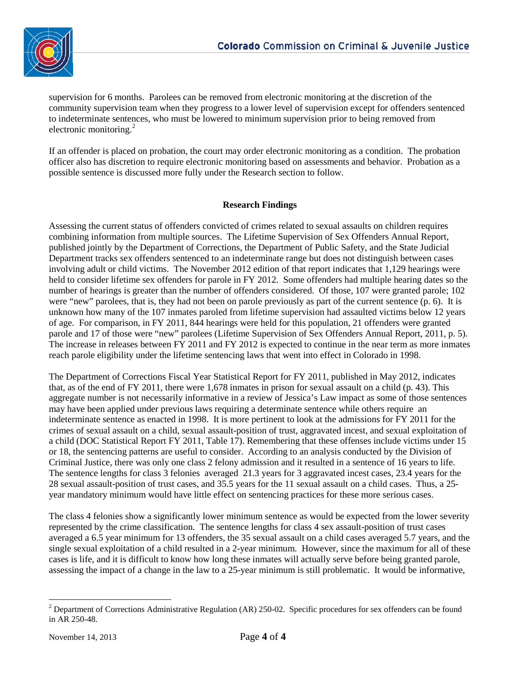

supervision for 6 months. Parolees can be removed from electronic monitoring at the discretion of the community supervision team when they progress to a lower level of supervision except for offenders sentenced to indeterminate sentences, who must be lowered to minimum supervision prior to being removed from electronic monitoring.<sup>[2](#page-3-0)</sup>

If an offender is placed on probation, the court may order electronic monitoring as a condition. The probation officer also has discretion to require electronic monitoring based on assessments and behavior. Probation as a possible sentence is discussed more fully under the Research section to follow.

## **Research Findings**

Assessing the current status of offenders convicted of crimes related to sexual assaults on children requires combining information from multiple sources. The Lifetime Supervision of Sex Offenders Annual Report, published jointly by the Department of Corrections, the Department of Public Safety, and the State Judicial Department tracks sex offenders sentenced to an indeterminate range but does not distinguish between cases involving adult or child victims. The November 2012 edition of that report indicates that 1,129 hearings were held to consider lifetime sex offenders for parole in FY 2012. Some offenders had multiple hearing dates so the number of hearings is greater than the number of offenders considered. Of those, 107 were granted parole; 102 were "new" parolees, that is, they had not been on parole previously as part of the current sentence (p. 6). It is unknown how many of the 107 inmates paroled from lifetime supervision had assaulted victims below 12 years of age. For comparison, in FY 2011, 844 hearings were held for this population, 21 offenders were granted parole and 17 of those were "new" parolees (Lifetime Supervision of Sex Offenders Annual Report, 2011, p. 5). The increase in releases between FY 2011 and FY 2012 is expected to continue in the near term as more inmates reach parole eligibility under the lifetime sentencing laws that went into effect in Colorado in 1998.

The Department of Corrections Fiscal Year Statistical Report for FY 2011, published in May 2012, indicates that, as of the end of FY 2011, there were 1,678 inmates in prison for sexual assault on a child (p. 43). This aggregate number is not necessarily informative in a review of Jessica's Law impact as some of those sentences may have been applied under previous laws requiring a determinate sentence while others require an indeterminate sentence as enacted in 1998. It is more pertinent to look at the admissions for FY 2011 for the crimes of sexual assault on a child, sexual assault-position of trust, aggravated incest, and sexual exploitation of a child (DOC Statistical Report FY 2011, Table 17). Remembering that these offenses include victims under 15 or 18, the sentencing patterns are useful to consider. According to an analysis conducted by the Division of Criminal Justice, there was only one class 2 felony admission and it resulted in a sentence of 16 years to life. The sentence lengths for class 3 felonies averaged 21.3 years for 3 aggravated incest cases, 23.4 years for the 28 sexual assault-position of trust cases, and 35.5 years for the 11 sexual assault on a child cases. Thus, a 25 year mandatory minimum would have little effect on sentencing practices for these more serious cases.

The class 4 felonies show a significantly lower minimum sentence as would be expected from the lower severity represented by the crime classification. The sentence lengths for class 4 sex assault-position of trust cases averaged a 6.5 year minimum for 13 offenders, the 35 sexual assault on a child cases averaged 5.7 years, and the single sexual exploitation of a child resulted in a 2-year minimum. However, since the maximum for all of these cases is life, and it is difficult to know how long these inmates will actually serve before being granted parole, assessing the impact of a change in the law to a 25-year minimum is still problematic. It would be informative,

<span id="page-3-0"></span><sup>&</sup>lt;sup>2</sup> Department of Corrections Administrative Regulation (AR) 250-02. Specific procedures for sex offenders can be found in AR 250-48.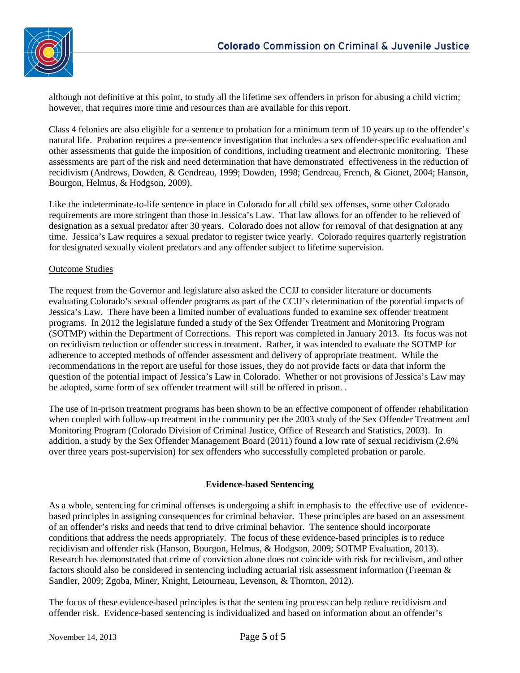

although not definitive at this point, to study all the lifetime sex offenders in prison for abusing a child victim; however, that requires more time and resources than are available for this report.

Class 4 felonies are also eligible for a sentence to probation for a minimum term of 10 years up to the offender's natural life. Probation requires a pre-sentence investigation that includes a sex offender-specific evaluation and other assessments that guide the imposition of conditions, including treatment and electronic monitoring. These assessments are part of the risk and need determination that have demonstrated effectiveness in the reduction of recidivism (Andrews, Dowden, & Gendreau, 1999; Dowden, 1998; Gendreau, French, & Gionet, 2004; Hanson, Bourgon, Helmus, & Hodgson, 2009).

Like the indeterminate-to-life sentence in place in Colorado for all child sex offenses, some other Colorado requirements are more stringent than those in Jessica's Law. That law allows for an offender to be relieved of designation as a sexual predator after 30 years. Colorado does not allow for removal of that designation at any time. Jessica's Law requires a sexual predator to register twice yearly. Colorado requires quarterly registration for designated sexually violent predators and any offender subject to lifetime supervision.

## Outcome Studies

The request from the Governor and legislature also asked the CCJJ to consider literature or documents evaluating Colorado's sexual offender programs as part of the CCJJ's determination of the potential impacts of Jessica's Law. There have been a limited number of evaluations funded to examine sex offender treatment programs. In 2012 the legislature funded a study of the Sex Offender Treatment and Monitoring Program (SOTMP) within the Department of Corrections. This report was completed in January 2013. Its focus was not on recidivism reduction or offender success in treatment. Rather, it was intended to evaluate the SOTMP for adherence to accepted methods of offender assessment and delivery of appropriate treatment. While the recommendations in the report are useful for those issues, they do not provide facts or data that inform the question of the potential impact of Jessica's Law in Colorado. Whether or not provisions of Jessica's Law may be adopted, some form of sex offender treatment will still be offered in prison. .

The use of in-prison treatment programs has been shown to be an effective component of offender rehabilitation when coupled with follow-up treatment in the community per the 2003 study of the Sex Offender Treatment and Monitoring Program (Colorado Division of Criminal Justice, Office of Research and Statistics, 2003). In addition, a study by the Sex Offender Management Board (2011) found a low rate of sexual recidivism (2.6% over three years post-supervision) for sex offenders who successfully completed probation or parole.

#### **Evidence-based Sentencing**

As a whole, sentencing for criminal offenses is undergoing a shift in emphasis to the effective use of evidencebased principles in assigning consequences for criminal behavior. These principles are based on an assessment of an offender's risks and needs that tend to drive criminal behavior. The sentence should incorporate conditions that address the needs appropriately. The focus of these evidence-based principles is to reduce recidivism and offender risk (Hanson, Bourgon, Helmus, & Hodgson, 2009; SOTMP Evaluation, 2013). Research has demonstrated that crime of conviction alone does not coincide with risk for recidivism, and other factors should also be considered in sentencing including actuarial risk assessment information (Freeman & Sandler, 2009; Zgoba, Miner, Knight, Letourneau, Levenson, & Thornton, 2012).

The focus of these evidence-based principles is that the sentencing process can help reduce recidivism and offender risk. Evidence-based sentencing is individualized and based on information about an offender's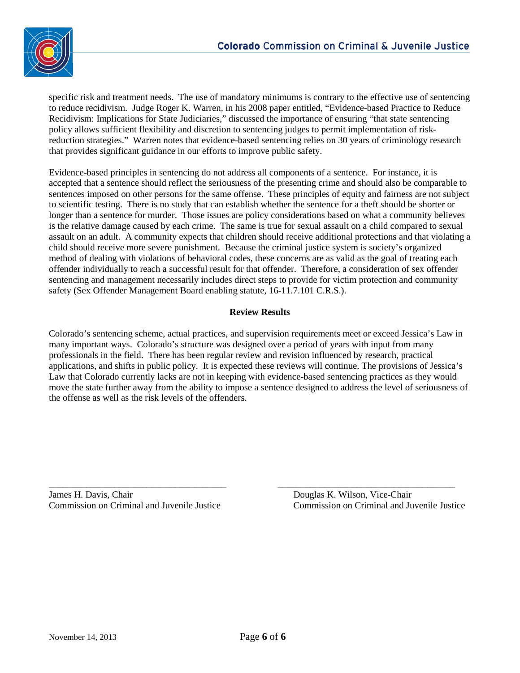

specific risk and treatment needs. The use of mandatory minimums is contrary to the effective use of sentencing to reduce recidivism. Judge Roger K. Warren, in his 2008 paper entitled, "Evidence-based Practice to Reduce Recidivism: Implications for State Judiciaries," discussed the importance of ensuring "that state sentencing policy allows sufficient flexibility and discretion to sentencing judges to permit implementation of riskreduction strategies." Warren notes that evidence-based sentencing relies on 30 years of criminology research that provides significant guidance in our efforts to improve public safety.

Evidence-based principles in sentencing do not address all components of a sentence. For instance, it is accepted that a sentence should reflect the seriousness of the presenting crime and should also be comparable to sentences imposed on other persons for the same offense. These principles of equity and fairness are not subject to scientific testing. There is no study that can establish whether the sentence for a theft should be shorter or longer than a sentence for murder. Those issues are policy considerations based on what a community believes is the relative damage caused by each crime. The same is true for sexual assault on a child compared to sexual assault on an adult. A community expects that children should receive additional protections and that violating a child should receive more severe punishment. Because the criminal justice system is society's organized method of dealing with violations of behavioral codes, these concerns are as valid as the goal of treating each offender individually to reach a successful result for that offender. Therefore, a consideration of sex offender sentencing and management necessarily includes direct steps to provide for victim protection and community safety (Sex Offender Management Board enabling statute, 16-11.7.101 C.R.S.).

## **Review Results**

Colorado's sentencing scheme, actual practices, and supervision requirements meet or exceed Jessica's Law in many important ways. Colorado's structure was designed over a period of years with input from many professionals in the field. There has been regular review and revision influenced by research, practical applications, and shifts in public policy. It is expected these reviews will continue. The provisions of Jessica's Law that Colorado currently lacks are not in keeping with evidence-based sentencing practices as they would move the state further away from the ability to impose a sentence designed to address the level of seriousness of the offense as well as the risk levels of the offenders.

\_\_\_\_\_\_\_\_\_\_\_\_\_\_\_\_\_\_\_\_\_\_\_\_\_\_\_\_\_\_\_\_\_\_\_\_\_\_ \_\_\_\_\_\_\_\_\_\_\_\_\_\_\_\_\_\_\_\_\_\_\_\_\_\_\_\_\_\_\_\_\_\_\_\_\_\_ James H. Davis, Chair Douglas K. Wilson, Vice-Chair

Commission on Criminal and Juvenile Justice Commission on Criminal and Juvenile Justice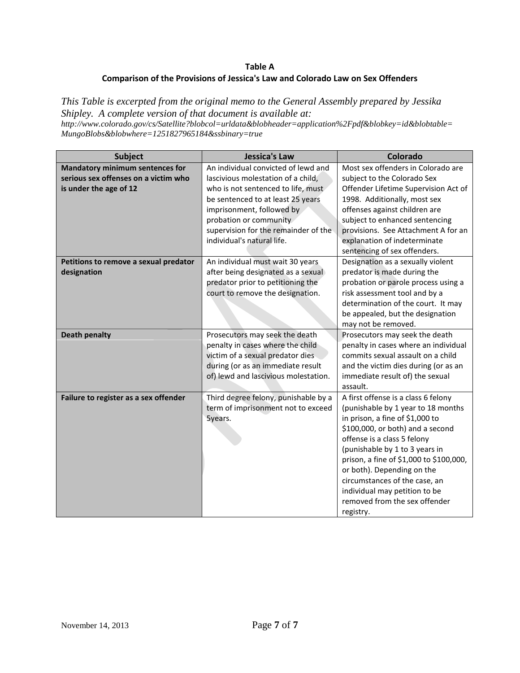## **Table A Comparison of the Provisions of Jessica's Law and Colorado Law on Sex Offenders**

*This Table is excerpted from the original memo to the General Assembly prepared by Jessika Shipley. A complete version of that document is available at:*

*http://www.colorado.gov/cs/Satellite?blobcol=urldata&blobheader=application%2Fpdf&blobkey=id&blobtable= MungoBlobs&blobwhere=1251827965184&ssbinary=true*

| <b>Subject</b>                                                                 | <b>Jessica's Law</b>                                                                                                                                                                                                                                                                                                | <b>Colorado</b>                                                                                                                                                                                                                                                                                                                                                                                            |
|--------------------------------------------------------------------------------|---------------------------------------------------------------------------------------------------------------------------------------------------------------------------------------------------------------------------------------------------------------------------------------------------------------------|------------------------------------------------------------------------------------------------------------------------------------------------------------------------------------------------------------------------------------------------------------------------------------------------------------------------------------------------------------------------------------------------------------|
| <b>Mandatory minimum sentences for</b><br>serious sex offenses on a victim who | An individual convicted of lewd and<br>lascivious molestation of a child,                                                                                                                                                                                                                                           | Most sex offenders in Colorado are<br>subject to the Colorado Sex                                                                                                                                                                                                                                                                                                                                          |
| is under the age of 12<br>Petitions to remove a sexual predator<br>designation | who is not sentenced to life, must<br>be sentenced to at least 25 years<br>imprisonment, followed by<br>probation or community<br>supervision for the remainder of the<br>individual's natural life.<br>An individual must wait 30 years<br>after being designated as a sexual<br>predator prior to petitioning the | Offender Lifetime Supervision Act of<br>1998. Additionally, most sex<br>offenses against children are<br>subject to enhanced sentencing<br>provisions. See Attachment A for an<br>explanation of indeterminate<br>sentencing of sex offenders.<br>Designation as a sexually violent<br>predator is made during the<br>probation or parole process using a                                                  |
|                                                                                | court to remove the designation.                                                                                                                                                                                                                                                                                    | risk assessment tool and by a<br>determination of the court. It may<br>be appealed, but the designation<br>may not be removed.                                                                                                                                                                                                                                                                             |
| <b>Death penalty</b>                                                           | Prosecutors may seek the death<br>penalty in cases where the child<br>victim of a sexual predator dies<br>during (or as an immediate result<br>of) lewd and lascivious molestation.                                                                                                                                 | Prosecutors may seek the death<br>penalty in cases where an individual<br>commits sexual assault on a child<br>and the victim dies during (or as an<br>immediate result of) the sexual<br>assault.                                                                                                                                                                                                         |
| Failure to register as a sex offender                                          | Third degree felony, punishable by a<br>term of imprisonment not to exceed<br>5years.                                                                                                                                                                                                                               | A first offense is a class 6 felony<br>(punishable by 1 year to 18 months<br>in prison, a fine of \$1,000 to<br>\$100,000, or both) and a second<br>offense is a class 5 felony<br>(punishable by 1 to 3 years in<br>prison, a fine of \$1,000 to \$100,000,<br>or both). Depending on the<br>circumstances of the case, an<br>individual may petition to be<br>removed from the sex offender<br>registry. |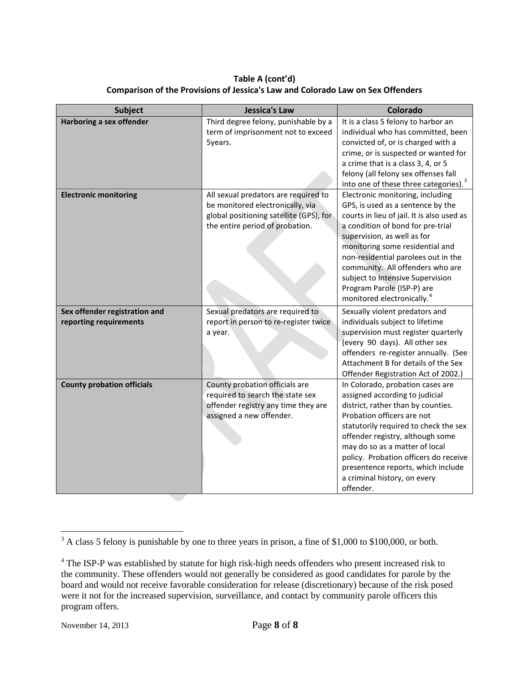**Table A (cont'd) Comparison of the Provisions of Jessica's Law and Colorado Law on Sex Offenders**

| <b>Subject</b>                                          | <b>Jessica's Law</b>                                                                                                                                   | <b>Colorado</b>                                                                                                                                                                                                                                                                                                                                                                                                   |
|---------------------------------------------------------|--------------------------------------------------------------------------------------------------------------------------------------------------------|-------------------------------------------------------------------------------------------------------------------------------------------------------------------------------------------------------------------------------------------------------------------------------------------------------------------------------------------------------------------------------------------------------------------|
| Harboring a sex offender                                | Third degree felony, punishable by a<br>term of imprisonment not to exceed<br>5years.                                                                  | It is a class 5 felony to harbor an<br>individual who has committed, been<br>convicted of, or is charged with a<br>crime, or is suspected or wanted for<br>a crime that is a class 3, 4, or 5<br>felony (all felony sex offenses fall<br>into one of these three categories). <sup>3</sup>                                                                                                                        |
| <b>Electronic monitoring</b>                            | All sexual predators are required to<br>be monitored electronically, via<br>global positioning satellite (GPS), for<br>the entire period of probation. | Electronic monitoring, including<br>GPS, is used as a sentence by the<br>courts in lieu of jail. It is also used as<br>a condition of bond for pre-trial<br>supervision, as well as for<br>monitoring some residential and<br>non-residential parolees out in the<br>community. All offenders who are<br>subject to Intensive Supervision<br>Program Parole (ISP-P) are<br>monitored electronically. <sup>4</sup> |
| Sex offender registration and<br>reporting requirements | Sexual predators are required to<br>report in person to re-register twice<br>a year.                                                                   | Sexually violent predators and<br>individuals subject to lifetime<br>supervision must register quarterly<br>(every 90 days). All other sex<br>offenders re-register annually. (See<br>Attachment B for details of the Sex<br>Offender Registration Act of 2002.)                                                                                                                                                  |
| <b>County probation officials</b>                       | County probation officials are<br>required to search the state sex<br>offender registry any time they are<br>assigned a new offender.                  | In Colorado, probation cases are<br>assigned according to judicial<br>district, rather than by counties.<br>Probation officers are not<br>statutorily required to check the sex<br>offender registry, although some<br>may do so as a matter of local<br>policy. Probation officers do receive<br>presentence reports, which include<br>a criminal history, on every<br>offender.                                 |

<span id="page-7-0"></span><sup>&</sup>lt;sup>3</sup> A class 5 felony is punishable by one to three years in prison, a fine of \$1,000 to \$100,000, or both.

<span id="page-7-1"></span><sup>&</sup>lt;sup>4</sup> The ISP-P was established by statute for high risk-high needs offenders who present increased risk to the community. These offenders would not generally be considered as good candidates for parole by the board and would not receive favorable consideration for release (discretionary) because of the risk posed were it not for the increased supervision, surveillance, and contact by community parole officers this program offers.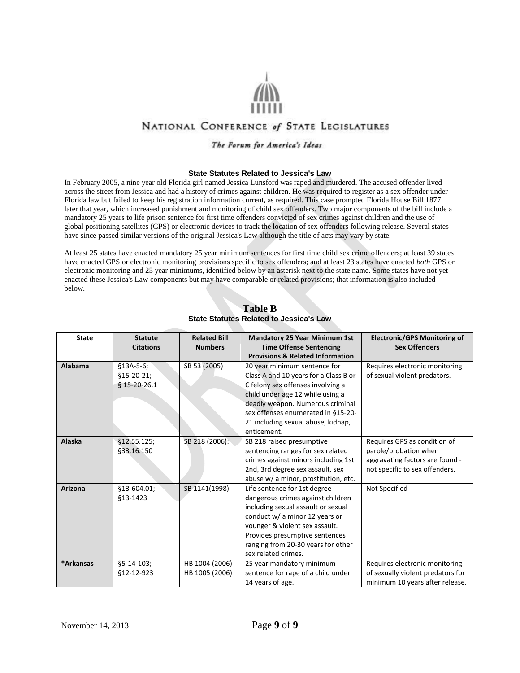

## NATIONAL CONFERENCE of STATE LEGISLATURES

#### The Forum for America's Ideas

#### **State Statutes Related to Jessica's Law**

In February 2005, a nine year old Florida girl named Jessica Lunsford was raped and murdered. The accused offender lived across the street from Jessica and had a history of crimes against children. He was required to register as a sex offender under Florida law but failed to keep his registration information current, as required. This case prompted Florida House Bill 1877 later that year, which increased punishment and monitoring of child sex offenders. Two major components of the bill include a mandatory 25 years to life prison sentence for first time offenders convicted of sex crimes against children and the use of global positioning satellites (GPS) or electronic devices to track the location of sex offenders following release. Several states have since passed similar versions of the original Jessica's Law although the title of acts may vary by state.

At least 25 states have enacted mandatory 25 year minimum sentences for first time child sex crime offenders; at least 39 states have enacted GPS or electronic monitoring provisions specific to sex offenders; and at least 23 states have enacted *both* GPS or electronic monitoring and 25 year minimums, identified below by an asterisk next to the state name. Some states have not yet enacted these Jessica's Law components but may have comparable or related provisions; that information is also included below.

| <b>State</b> | <b>Statute</b>   | <b>Related Bill</b> | <b>Mandatory 25 Year Minimum 1st</b>        | <b>Electronic/GPS Monitoring of</b> |
|--------------|------------------|---------------------|---------------------------------------------|-------------------------------------|
|              | <b>Citations</b> | <b>Numbers</b>      | <b>Time Offense Sentencing</b>              | <b>Sex Offenders</b>                |
|              |                  |                     | <b>Provisions &amp; Related Information</b> |                                     |
| Alabama      | $$13A-5-6;$      | SB 53 (2005)        | 20 year minimum sentence for                | Requires electronic monitoring      |
|              | $$15-20-21;$     |                     | Class A and 10 years for a Class B or       | of sexual violent predators.        |
|              | § 15-20-26.1     |                     | C felony sex offenses involving a           |                                     |
|              |                  |                     | child under age 12 while using a            |                                     |
|              |                  |                     | deadly weapon. Numerous criminal            |                                     |
|              |                  |                     | sex offenses enumerated in §15-20-          |                                     |
|              |                  |                     | 21 including sexual abuse, kidnap,          |                                     |
|              |                  |                     | enticement.                                 |                                     |
| Alaska       | \$12.55.125;     | SB 218 (2006):      | SB 218 raised presumptive                   | Requires GPS as condition of        |
|              | §33.16.150       |                     | sentencing ranges for sex related           | parole/probation when               |
|              |                  |                     | crimes against minors including 1st         | aggravating factors are found -     |
|              |                  |                     | 2nd, 3rd degree sex assault, sex            | not specific to sex offenders.      |
|              |                  |                     | abuse w/ a minor, prostitution, etc.        |                                     |
| Arizona      | §13-604.01;      | SB 1141(1998)       | Life sentence for 1st degree                | Not Specified                       |
|              | §13-1423         |                     | dangerous crimes against children           |                                     |
|              |                  |                     | including sexual assault or sexual          |                                     |
|              |                  |                     | conduct w/ a minor 12 years or              |                                     |
|              |                  |                     | younger & violent sex assault.              |                                     |
|              |                  |                     | Provides presumptive sentences              |                                     |
|              |                  |                     | ranging from 20-30 years for other          |                                     |
|              |                  |                     | sex related crimes.                         |                                     |
| *Arkansas    | $§5 - 14 - 103;$ | HB 1004 (2006)      | 25 year mandatory minimum                   | Requires electronic monitoring      |
|              | §12-12-923       | HB 1005 (2006)      | sentence for rape of a child under          | of sexually violent predators for   |
|              |                  |                     | 14 years of age.                            | minimum 10 years after release.     |

**Table B State Statutes Related to Jessica's Law**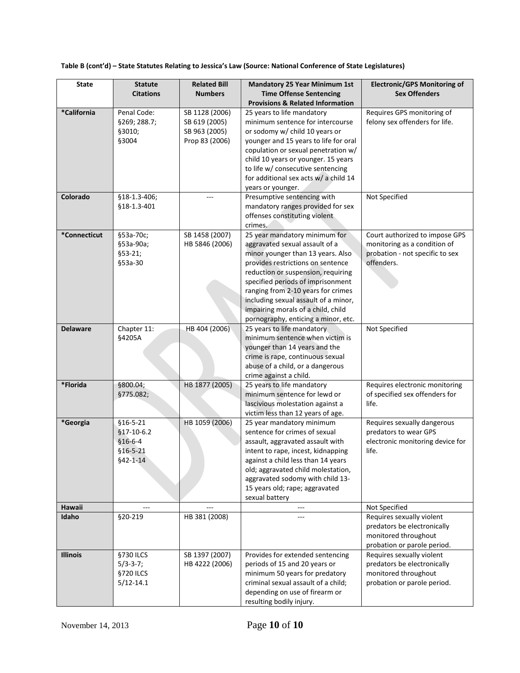| <b>State</b>    | <b>Statute</b><br><b>Citations</b>                                          | <b>Related Bill</b><br><b>Numbers</b>                              | <b>Mandatory 25 Year Minimum 1st</b><br><b>Time Offense Sentencing</b><br><b>Provisions &amp; Related Information</b>                                                                                                                                                                                                                                                           | <b>Electronic/GPS Monitoring of</b><br><b>Sex Offenders</b>                                                     |
|-----------------|-----------------------------------------------------------------------------|--------------------------------------------------------------------|---------------------------------------------------------------------------------------------------------------------------------------------------------------------------------------------------------------------------------------------------------------------------------------------------------------------------------------------------------------------------------|-----------------------------------------------------------------------------------------------------------------|
| *California     | Penal Code:<br>§269; 288.7;<br>§3010;<br>§3004                              | SB 1128 (2006)<br>SB 619 (2005)<br>SB 963 (2005)<br>Prop 83 (2006) | 25 years to life mandatory<br>minimum sentence for intercourse<br>or sodomy w/ child 10 years or<br>younger and 15 years to life for oral<br>copulation or sexual penetration w/<br>child 10 years or younger. 15 years<br>to life w/ consecutive sentencing<br>for additional sex acts w/ a child 14<br>years or younger.                                                      | Requires GPS monitoring of<br>felony sex offenders for life.                                                    |
| Colorado        | §18-1.3-406;<br>\$18-1.3-401                                                |                                                                    | Presumptive sentencing with<br>mandatory ranges provided for sex<br>offenses constituting violent<br>crimes.                                                                                                                                                                                                                                                                    | Not Specified                                                                                                   |
| *Connecticut    | §53a-70c;<br>§53a-90a;<br>$$53-21;$<br>§53a-30                              | SB 1458 (2007)<br>HB 5846 (2006)                                   | 25 year mandatory minimum for<br>aggravated sexual assault of a<br>minor younger than 13 years. Also<br>provides restrictions on sentence<br>reduction or suspension, requiring<br>specified periods of imprisonment<br>ranging from 2-10 years for crimes<br>including sexual assault of a minor,<br>impairing morals of a child, child<br>pornography, enticing a minor, etc. | Court authorized to impose GPS<br>monitoring as a condition of<br>probation - not specific to sex<br>offenders. |
| <b>Delaware</b> | Chapter 11:<br>§4205A                                                       | HB 404 (2006)                                                      | 25 years to life mandatory<br>minimum sentence when victim is<br>younger than 14 years and the<br>crime is rape, continuous sexual<br>abuse of a child, or a dangerous<br>crime against a child.                                                                                                                                                                                | Not Specified                                                                                                   |
| *Florida        | §800.04;<br>§775.082;                                                       | HB 1877 (2005)                                                     | 25 years to life mandatory<br>minimum sentence for lewd or<br>lascivious molestation against a<br>victim less than 12 years of age.                                                                                                                                                                                                                                             | Requires electronic monitoring<br>of specified sex offenders for<br>life.                                       |
| *Georgia        | $$16-5-21$<br>$$17-10-6.2$<br>$$16 - 6 - 4$<br>$$16-5-21$<br>$§42 - 1 - 14$ | HB 1059 (2006)                                                     | 25 year mandatory minimum<br>sentence for crimes of sexual<br>assault, aggravated assault with<br>intent to rape, incest, kidnapping<br>against a child less than 14 years<br>old; aggravated child molestation,<br>aggravated sodomy with child 13-<br>15 years old; rape; aggravated<br>sexual battery                                                                        | Requires sexually dangerous<br>predators to wear GPS<br>electronic monitoring device for<br>life.               |
| Hawaii          |                                                                             |                                                                    | ---                                                                                                                                                                                                                                                                                                                                                                             | Not Specified                                                                                                   |
| Idaho           | §20-219                                                                     | HB 381 (2008)                                                      |                                                                                                                                                                                                                                                                                                                                                                                 | Requires sexually violent<br>predators be electronically<br>monitored throughout<br>probation or parole period. |
| <b>Illinois</b> | §730 ILCS<br>$5/3 - 3 - 7;$<br>§720 ILCS<br>$5/12 - 14.1$                   | SB 1397 (2007)<br>HB 4222 (2006)                                   | Provides for extended sentencing<br>periods of 15 and 20 years or<br>minimum 50 years for predatory<br>criminal sexual assault of a child;<br>depending on use of firearm or<br>resulting bodily injury.                                                                                                                                                                        | Requires sexually violent<br>predators be electronically<br>monitored throughout<br>probation or parole period. |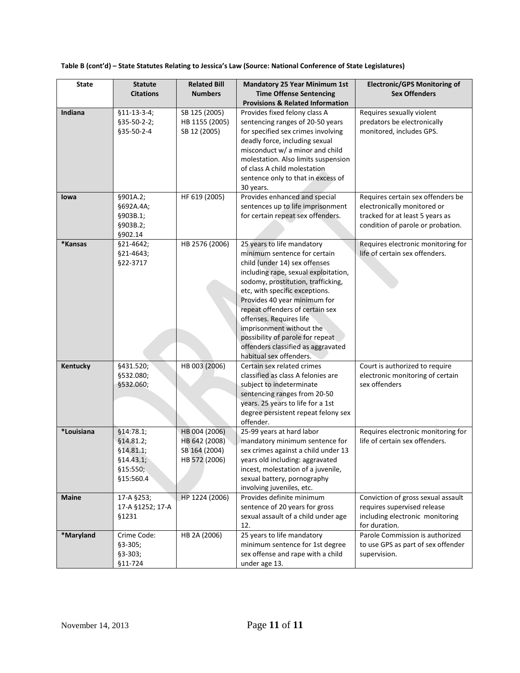| <b>State</b>    | <b>Statute</b>          | <b>Related Bill</b> | <b>Mandatory 25 Year Minimum 1st</b>                                          | <b>Electronic/GPS Monitoring of</b> |
|-----------------|-------------------------|---------------------|-------------------------------------------------------------------------------|-------------------------------------|
|                 | <b>Citations</b>        | <b>Numbers</b>      | <b>Time Offense Sentencing</b><br><b>Provisions &amp; Related Information</b> | <b>Sex Offenders</b>                |
| Indiana         | $$11-13-3-4;$           | SB 125 (2005)       | Provides fixed felony class A                                                 | Requires sexually violent           |
|                 | \$35-50-2-2;            | HB 1155 (2005)      | sentencing ranges of 20-50 years                                              | predators be electronically         |
|                 | \$35-50-2-4             | SB 12 (2005)        | for specified sex crimes involving                                            | monitored, includes GPS.            |
|                 |                         |                     | deadly force, including sexual                                                |                                     |
|                 |                         |                     | misconduct w/ a minor and child                                               |                                     |
|                 |                         |                     | molestation. Also limits suspension                                           |                                     |
|                 |                         |                     | of class A child molestation                                                  |                                     |
|                 |                         |                     | sentence only to that in excess of                                            |                                     |
| lowa            | §901A.2;                | HF 619 (2005)       | 30 years.<br>Provides enhanced and special                                    | Requires certain sex offenders be   |
|                 | §692A.4A;               |                     | sentences up to life imprisonment                                             | electronically monitored or         |
|                 | §903B.1;                |                     | for certain repeat sex offenders.                                             | tracked for at least 5 years as     |
|                 | §903B.2;                |                     |                                                                               | condition of parole or probation.   |
|                 | §902.14                 |                     |                                                                               |                                     |
| *Kansas         | §21-4642;               | HB 2576 (2006)      | 25 years to life mandatory                                                    | Requires electronic monitoring for  |
|                 | §21-4643;               |                     | minimum sentence for certain                                                  | life of certain sex offenders.      |
|                 | §22-3717                |                     | child (under 14) sex offenses                                                 |                                     |
|                 |                         |                     | including rape, sexual exploitation,                                          |                                     |
|                 |                         |                     | sodomy, prostitution, trafficking,                                            |                                     |
|                 |                         |                     | etc, with specific exceptions.<br>Provides 40 year minimum for                |                                     |
|                 |                         |                     | repeat offenders of certain sex                                               |                                     |
|                 |                         |                     | offenses. Requires life                                                       |                                     |
|                 |                         |                     | imprisonment without the                                                      |                                     |
|                 |                         |                     | possibility of parole for repeat                                              |                                     |
|                 |                         |                     | offenders classified as aggravated                                            |                                     |
|                 |                         |                     | habitual sex offenders.                                                       |                                     |
| <b>Kentucky</b> | §431.520;               | HB 003 (2006)       | Certain sex related crimes                                                    | Court is authorized to require      |
|                 | §532.080;               |                     | classified as class A felonies are                                            | electronic monitoring of certain    |
|                 | §532.060;               |                     | subject to indeterminate<br>sentencing ranges from 20-50                      | sex offenders                       |
|                 |                         |                     | years. 25 years to life for a 1st                                             |                                     |
|                 |                         |                     | degree persistent repeat felony sex                                           |                                     |
|                 |                         |                     | offender.                                                                     |                                     |
| *Louisiana      | \$14:78.1;              | HB 004 (2006)       | 25-99 years at hard labor                                                     | Requires electronic monitoring for  |
|                 | §14.81.2;               | HB 642 (2008)       | mandatory minimum sentence for                                                | life of certain sex offenders.      |
|                 | §14.81.1;               | SB 164 (2004)       | sex crimes against a child under 13                                           |                                     |
|                 | §14.43.1;               | HB 572 (2006)       | years old including: aggravated                                               |                                     |
|                 | \$15:550;<br>\$15:560.4 |                     | incest, molestation of a juvenile,<br>sexual battery, pornography             |                                     |
|                 |                         |                     | involving juveniles, etc.                                                     |                                     |
| <b>Maine</b>    | 17-A §253;              | HP 1224 (2006)      | Provides definite minimum                                                     | Conviction of gross sexual assault  |
|                 | 17-A §1252; 17-A        |                     | sentence of 20 years for gross                                                | requires supervised release         |
|                 | §1231                   |                     | sexual assault of a child under age                                           | including electronic monitoring     |
|                 |                         |                     | 12.                                                                           | for duration.                       |
| *Maryland       | Crime Code:             | HB 2A (2006)        | 25 years to life mandatory                                                    | Parole Commission is authorized     |
|                 | $§3 - 305;$             |                     | minimum sentence for 1st degree                                               | to use GPS as part of sex offender  |
|                 | $§3 - 303;$<br>§11-724  |                     | sex offense and rape with a child<br>under age 13.                            | supervision.                        |
|                 |                         |                     |                                                                               |                                     |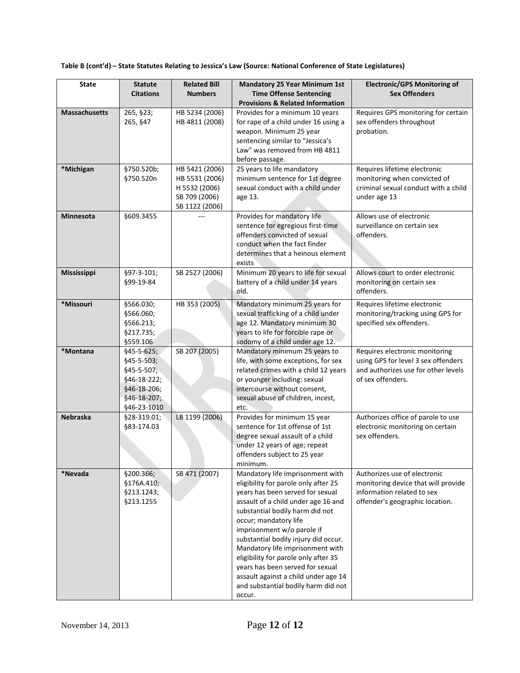| <b>State</b>         | <b>Statute</b><br><b>Citations</b>                                                                              | <b>Related Bill</b><br><b>Numbers</b>                                                | <b>Mandatory 25 Year Minimum 1st</b><br><b>Time Offense Sentencing</b><br><b>Provisions &amp; Related Information</b>                                                                                                                                                                                                                                                                                                                                                                          | <b>Electronic/GPS Monitoring of</b><br><b>Sex Offenders</b>                                                                          |
|----------------------|-----------------------------------------------------------------------------------------------------------------|--------------------------------------------------------------------------------------|------------------------------------------------------------------------------------------------------------------------------------------------------------------------------------------------------------------------------------------------------------------------------------------------------------------------------------------------------------------------------------------------------------------------------------------------------------------------------------------------|--------------------------------------------------------------------------------------------------------------------------------------|
| <b>Massachusetts</b> | 265, §23;<br>265, §47                                                                                           | HB 5234 (2006)<br>HB 4811 (2008)                                                     | Provides for a minimum 10 years<br>for rape of a child under 16 using a<br>weapon. Minimum 25 year<br>sentencing similar to "Jessica's<br>Law" was removed from HB 4811<br>before passage.                                                                                                                                                                                                                                                                                                     | Requires GPS monitoring for certain<br>sex offenders throughout<br>probation.                                                        |
| *Michigan            | §750.520b;<br>§750.520n                                                                                         | HB 5421 (2006)<br>HB 5531 (2006)<br>H 5532 (2006)<br>SB 709 (2006)<br>SB 1122 (2006) | 25 years to life mandatory<br>minimum sentence for 1st degree<br>sexual conduct with a child under<br>age 13.                                                                                                                                                                                                                                                                                                                                                                                  | Requires lifetime electronic<br>monitoring when convicted of<br>criminal sexual conduct with a child<br>under age 13                 |
| <b>Minnesota</b>     | §609.3455                                                                                                       |                                                                                      | Provides for mandatory life<br>sentence for egregious first-time<br>offenders convicted of sexual<br>conduct when the fact finder<br>determines that a heinous element<br>exists                                                                                                                                                                                                                                                                                                               | Allows use of electronic<br>surveillance on certain sex<br>offenders.                                                                |
| Mississippi          | §97-3-101;<br>§99-19-84                                                                                         | SB 2527 (2006)                                                                       | Minimum 20 years to life for sexual<br>battery of a child under 14 years<br>old.                                                                                                                                                                                                                                                                                                                                                                                                               | Allows court to order electronic<br>monitoring on certain sex<br>offenders.                                                          |
| *Missouri            | §566.030;<br>\$566.060;<br>\$566.213;<br>§217.735;<br>§559.106                                                  | HB 353 (2005)                                                                        | Mandatory minimum 25 years for<br>sexual trafficking of a child under<br>age 12. Mandatory minimum 30<br>years to life for forcible rape or<br>sodomy of a child under age 12.                                                                                                                                                                                                                                                                                                                 | Requires lifetime electronic<br>monitoring/tracking using GPS for<br>specified sex offenders.                                        |
| *Montana             | $§45 - 5 - 625;$<br>§45-5-503;<br>$§45 - 5 - 507;$<br>\$46-18-222;<br>§46-18-206;<br>§46-18-207;<br>§46-23-1010 | SB 207 (2005)                                                                        | Mandatory minimum 25 years to<br>life, with some exceptions, for sex<br>related crimes with a child 12 years<br>or younger including: sexual<br>intercourse without consent,<br>sexual abuse of children, incest,<br>etc.                                                                                                                                                                                                                                                                      | Requires electronic monitoring<br>using GPS for level 3 sex offenders<br>and authorizes use for other levels<br>of sex offenders.    |
| <b>Nebraska</b>      | §28-319.01;<br>§83-174.03                                                                                       | LB 1199 (2006)                                                                       | Provides for minimum 15 year<br>sentence for 1st offense of 1st<br>degree sexual assault of a child<br>under 12 years of age; repeat<br>offenders subject to 25 year<br>minimum.                                                                                                                                                                                                                                                                                                               | Authorizes office of parole to use<br>electronic monitoring on certain<br>sex offenders.                                             |
| *Nevada              | §200.366;<br>§176A.410;<br>§213.1243;<br>§213.1255                                                              | SB 471 (2007)                                                                        | Mandatory life imprisonment with<br>eligibility for parole only after 25<br>years has been served for sexual<br>assault of a child under age 16 and<br>substantial bodily harm did not<br>occur; mandatory life<br>imprisonment w/o parole if<br>substantial bodily injury did occur.<br>Mandatory life imprisonment with<br>eligibility for parole only after 35<br>years has been served for sexual<br>assault against a child under age 14<br>and substantial bodily harm did not<br>occur. | Authorizes use of electronic<br>monitoring device that will provide<br>information related to sex<br>offender's geographic location. |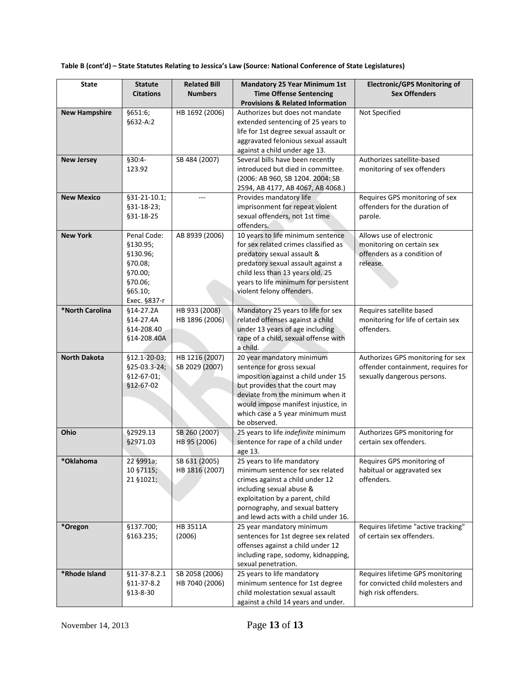| <b>State</b>         | <b>Statute</b><br><b>Citations</b>                                                              | <b>Related Bill</b><br><b>Numbers</b> | <b>Mandatory 25 Year Minimum 1st</b><br><b>Time Offense Sentencing</b><br><b>Provisions &amp; Related Information</b>                                                                                                                                           | <b>Electronic/GPS Monitoring of</b><br><b>Sex Offenders</b>                                            |
|----------------------|-------------------------------------------------------------------------------------------------|---------------------------------------|-----------------------------------------------------------------------------------------------------------------------------------------------------------------------------------------------------------------------------------------------------------------|--------------------------------------------------------------------------------------------------------|
| <b>New Hampshire</b> | §651:6;<br>§632-A:2                                                                             | HB 1692 (2006)                        | Authorizes but does not mandate<br>extended sentencing of 25 years to<br>life for 1st degree sexual assault or<br>aggravated felonious sexual assault<br>against a child under age 13.                                                                          | Not Specified                                                                                          |
| <b>New Jersey</b>    | $§30:4-$<br>123.92                                                                              | SB 484 (2007)                         | Several bills have been recently<br>introduced but died in committee.<br>(2006: AB 960, SB 1204. 2004: SB<br>2594, AB 4177, AB 4067, AB 4068.)                                                                                                                  | Authorizes satellite-based<br>monitoring of sex offenders                                              |
| <b>New Mexico</b>    | $§31-21-10.1;$<br>$§31-18-23;$<br>§31-18-25                                                     |                                       | Provides mandatory life<br>imprisonment for repeat violent<br>sexual offenders, not 1st time<br>offenders.                                                                                                                                                      | Requires GPS monitoring of sex<br>offenders for the duration of<br>parole.                             |
| <b>New York</b>      | Penal Code:<br>§130.95;<br>§130.96;<br>§70.08;<br>§70.00;<br>§70.06;<br>§65.10;<br>Exec. §837-r | AB 8939 (2006)                        | 10 years to life minimum sentence<br>for sex related crimes classified as<br>predatory sexual assault &<br>predatory sexual assault against a<br>child less than 13 years old. 25<br>years to life minimum for persistent<br>violent felony offenders.          | Allows use of electronic<br>monitoring on certain sex<br>offenders as a condition of<br>release.       |
| *North Carolina      | §14-27.2A<br>§14-27.4A<br>\$14-208.40<br>§14-208.40A                                            | HB 933 (2008)<br>HB 1896 (2006)       | Mandatory 25 years to life for sex<br>related offenses against a child<br>under 13 years of age including<br>rape of a child, sexual offense with<br>a child.                                                                                                   | Requires satellite based<br>monitoring for life of certain sex<br>offenders.                           |
| <b>North Dakota</b>  | §12.1-20-03;<br>§25-03.3-24;<br>$$12-67-01;$<br>§12-67-02                                       | HB 1216 (2007)<br>SB 2029 (2007)      | 20 year mandatory minimum<br>sentence for gross sexual<br>imposition against a child under 15<br>but provides that the court may<br>deviate from the minimum when it<br>would impose manifest injustice, in<br>which case a 5 year minimum must<br>be observed. | Authorizes GPS monitoring for sex<br>offender containment, requires for<br>sexually dangerous persons. |
| Ohio                 | §2929.13<br>§2971.03                                                                            | SB 260 (2007)<br>HB 95 (2006)         | 25 years to life indefinite minimum<br>sentence for rape of a child under<br>age 13.                                                                                                                                                                            | Authorizes GPS monitoring for<br>certain sex offenders.                                                |
| *Oklahoma            | 22 §991a;<br>10 §7115;<br>21 §1021;                                                             | SB 631 (2005)<br>HB 1816 (2007)       | 25 years to life mandatory<br>minimum sentence for sex related<br>crimes against a child under 12<br>including sexual abuse &<br>exploitation by a parent, child<br>pornography, and sexual battery<br>and lewd acts with a child under 16.                     | Requires GPS monitoring of<br>habitual or aggravated sex<br>offenders.                                 |
| *Oregon              | \$137.700;<br>\$163.235;                                                                        | <b>HB 3511A</b><br>(2006)             | 25 year mandatory minimum<br>sentences for 1st degree sex related<br>offenses against a child under 12<br>including rape, sodomy, kidnapping,<br>sexual penetration.                                                                                            | Requires lifetime "active tracking"<br>of certain sex offenders.                                       |
| *Rhode Island        | $$11-37-8.2.1$<br>$$11-37-8.2$<br>$$13 - 8 - 30$                                                | SB 2058 (2006)<br>HB 7040 (2006)      | 25 years to life mandatory<br>minimum sentence for 1st degree<br>child molestation sexual assault<br>against a child 14 years and under.                                                                                                                        | Requires lifetime GPS monitoring<br>for convicted child molesters and<br>high risk offenders.          |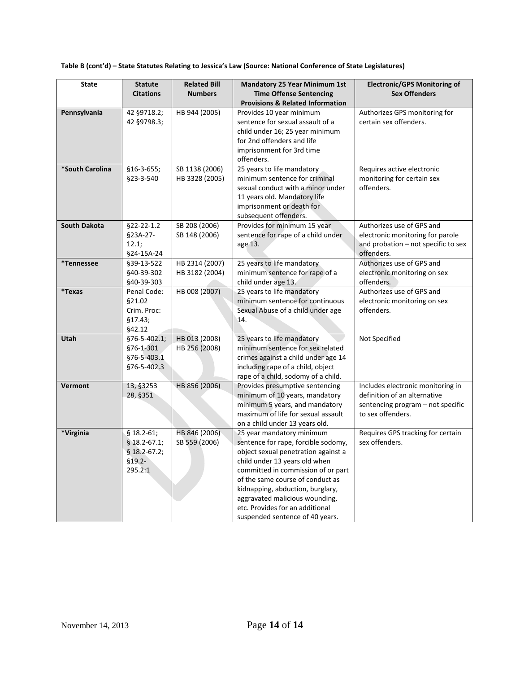| <b>State</b>        | <b>Statute</b><br><b>Citations</b> | <b>Related Bill</b><br><b>Numbers</b> | <b>Mandatory 25 Year Minimum 1st</b><br><b>Time Offense Sentencing</b> | <b>Electronic/GPS Monitoring of</b><br><b>Sex Offenders</b> |
|---------------------|------------------------------------|---------------------------------------|------------------------------------------------------------------------|-------------------------------------------------------------|
|                     |                                    |                                       | <b>Provisions &amp; Related Information</b>                            |                                                             |
| Pennsylvania        | 42 §9718.2;                        | HB 944 (2005)                         | Provides 10 year minimum                                               | Authorizes GPS monitoring for                               |
|                     | 42 §9798.3;                        |                                       | sentence for sexual assault of a                                       | certain sex offenders.                                      |
|                     |                                    |                                       | child under 16; 25 year minimum                                        |                                                             |
|                     |                                    |                                       | for 2nd offenders and life                                             |                                                             |
|                     |                                    |                                       | imprisonment for 3rd time                                              |                                                             |
|                     |                                    |                                       | offenders.                                                             |                                                             |
| *South Carolina     | $$16-3-655;$                       | SB 1138 (2006)                        | 25 years to life mandatory                                             | Requires active electronic                                  |
|                     | §23-3-540                          | HB 3328 (2005)                        | minimum sentence for criminal                                          | monitoring for certain sex                                  |
|                     |                                    |                                       | sexual conduct with a minor under                                      | offenders.                                                  |
|                     |                                    |                                       | 11 years old. Mandatory life                                           |                                                             |
|                     |                                    |                                       | imprisonment or death for                                              |                                                             |
|                     |                                    |                                       | subsequent offenders.                                                  |                                                             |
| <b>South Dakota</b> | $§22 - 22 - 1.2$                   | SB 208 (2006)                         | Provides for minimum 15 year                                           | Authorizes use of GPS and                                   |
|                     | §23A-27-                           | SB 148 (2006)                         | sentence for rape of a child under                                     | electronic monitoring for parole                            |
|                     | 12.1;                              |                                       | age 13.                                                                | and probation - not specific to sex                         |
|                     | §24-15A-24                         |                                       |                                                                        | offenders.                                                  |
| <i>*</i> Tennessee  | §39-13-522<br>\$40-39-302          | HB 2314 (2007)                        | 25 years to life mandatory<br>minimum sentence for rape of a           | Authorizes use of GPS and                                   |
|                     | §40-39-303                         | HB 3182 (2004)                        | child under age 13.                                                    | electronic monitoring on sex<br>offenders.                  |
| *Texas              | Penal Code:                        | HB 008 (2007)                         | 25 years to life mandatory                                             | Authorizes use of GPS and                                   |
|                     | §21.02                             |                                       | minimum sentence for continuous                                        | electronic monitoring on sex                                |
|                     | Crim. Proc:                        |                                       | Sexual Abuse of a child under age                                      | offenders.                                                  |
|                     | §17.43;                            |                                       | 14.                                                                    |                                                             |
|                     | §42.12                             |                                       |                                                                        |                                                             |
| Utah                | §76-5-402.1;                       | HB 013 (2008)                         | 25 years to life mandatory                                             | Not Specified                                               |
|                     | §76-1-301                          | HB 256 (2008)                         | minimum sentence for sex related                                       |                                                             |
|                     | \$76-5-403.1                       |                                       | crimes against a child under age 14                                    |                                                             |
|                     | §76-5-402.3                        |                                       | including rape of a child, object                                      |                                                             |
|                     |                                    |                                       | rape of a child, sodomy of a child.                                    |                                                             |
| <b>Vermont</b>      | 13, §3253                          | HB 856 (2006)                         | Provides presumptive sentencing                                        | Includes electronic monitoring in                           |
|                     | 28, §351                           |                                       | minimum of 10 years, mandatory                                         | definition of an alternative                                |
|                     |                                    |                                       | minimum 5 years, and mandatory                                         | sentencing program - not specific                           |
|                     |                                    |                                       | maximum of life for sexual assault                                     | to sex offenders.                                           |
|                     |                                    |                                       | on a child under 13 years old.                                         |                                                             |
| *Virginia           | $$18.2-61;$                        | HB 846 (2006)                         | 25 year mandatory minimum<br>sentence for rape, forcible sodomy,       | Requires GPS tracking for certain<br>sex offenders.         |
|                     | $$18.2 - 67.1;$<br>$$18.2-67.2;$   | SB 559 (2006)                         | object sexual penetration against a                                    |                                                             |
|                     | $$19.2-$                           |                                       | child under 13 years old when                                          |                                                             |
|                     | 295.2:1                            |                                       | committed in commission of or part                                     |                                                             |
|                     |                                    |                                       | of the same course of conduct as                                       |                                                             |
|                     |                                    |                                       | kidnapping, abduction, burglary,                                       |                                                             |
|                     |                                    |                                       | aggravated malicious wounding,                                         |                                                             |
|                     |                                    |                                       | etc. Provides for an additional                                        |                                                             |
|                     |                                    |                                       | suspended sentence of 40 years.                                        |                                                             |